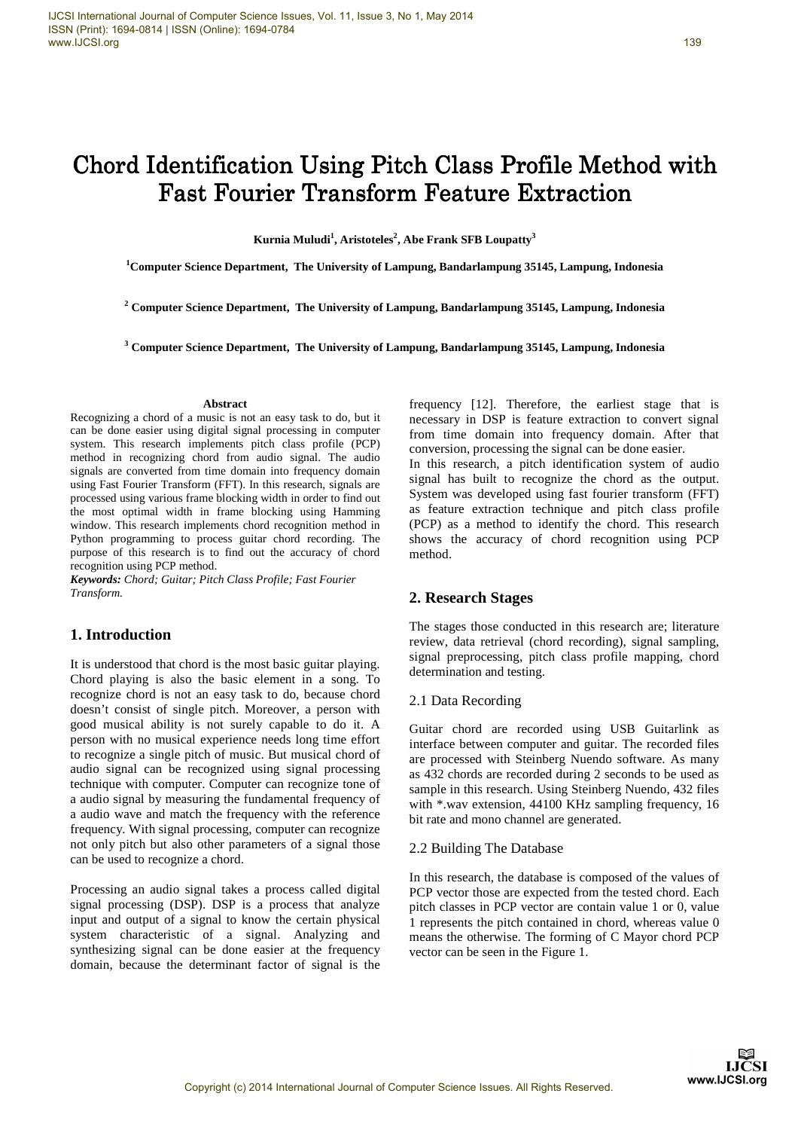139

# Chord Identification Using Pitch Class Profile Method with Fast Fourier Transform Feature Extraction

**Kurnia Muludi<sup>1</sup> , Aristoteles<sup>2</sup> , Abe Frank SFB Loupatty<sup>3</sup>**

**<sup>1</sup>Computer Science Department, The University of Lampung, Bandarlampung 35145, Lampung, Indonesia** 

**2 Computer Science Department, The University of Lampung, Bandarlampung 35145, Lampung, Indonesia** 

**3 Computer Science Department, The University of Lampung, Bandarlampung 35145, Lampung, Indonesia** 

#### **Abstract**

Recognizing a chord of a music is not an easy task to do, but it can be done easier using digital signal processing in computer system. This research implements pitch class profile (PCP) method in recognizing chord from audio signal. The audio signals are converted from time domain into frequency domain using Fast Fourier Transform (FFT). In this research, signals are processed using various frame blocking width in order to find out the most optimal width in frame blocking using Hamming window. This research implements chord recognition method in Python programming to process guitar chord recording. The purpose of this research is to find out the accuracy of chord recognition using PCP method.

*Keywords: Chord; Guitar; Pitch Class Profile; Fast Fourier Transform.* 

# **1. Introduction**

It is understood that chord is the most basic guitar playing. Chord playing is also the basic element in a song. To recognize chord is not an easy task to do, because chord doesn't consist of single pitch. Moreover, a person with good musical ability is not surely capable to do it. A person with no musical experience needs long time effort to recognize a single pitch of music. But musical chord of audio signal can be recognized using signal processing technique with computer. Computer can recognize tone of a audio signal by measuring the fundamental frequency of a audio wave and match the frequency with the reference frequency. With signal processing, computer can recognize not only pitch but also other parameters of a signal those can be used to recognize a chord.

Processing an audio signal takes a process called digital signal processing (DSP). DSP is a process that analyze input and output of a signal to know the certain physical system characteristic of a signal. Analyzing and synthesizing signal can be done easier at the frequency domain, because the determinant factor of signal is the

frequency [12]. Therefore, the earliest stage that is necessary in DSP is feature extraction to convert signal from time domain into frequency domain. After that conversion, processing the signal can be done easier. In this research, a pitch identification system of audio signal has built to recognize the chord as the output. System was developed using fast fourier transform (FFT) as feature extraction technique and pitch class profile (PCP) as a method to identify the chord. This research shows the accuracy of chord recognition using PCP method.

# **2. Research Stages**

The stages those conducted in this research are; literature review, data retrieval (chord recording), signal sampling, signal preprocessing, pitch class profile mapping, chord determination and testing.

## 2.1 Data Recording

Guitar chord are recorded using USB Guitarlink as interface between computer and guitar. The recorded files are processed with Steinberg Nuendo software. As many as 432 chords are recorded during 2 seconds to be used as sample in this research. Using Steinberg Nuendo, 432 files with \*.wav extension, 44100 KHz sampling frequency, 16 bit rate and mono channel are generated.

# 2.2 Building The Database

In this research, the database is composed of the values of PCP vector those are expected from the tested chord. Each pitch classes in PCP vector are contain value 1 or 0, value 1 represents the pitch contained in chord, whereas value 0 means the otherwise. The forming of C Mayor chord PCP vector can be seen in the Figure 1.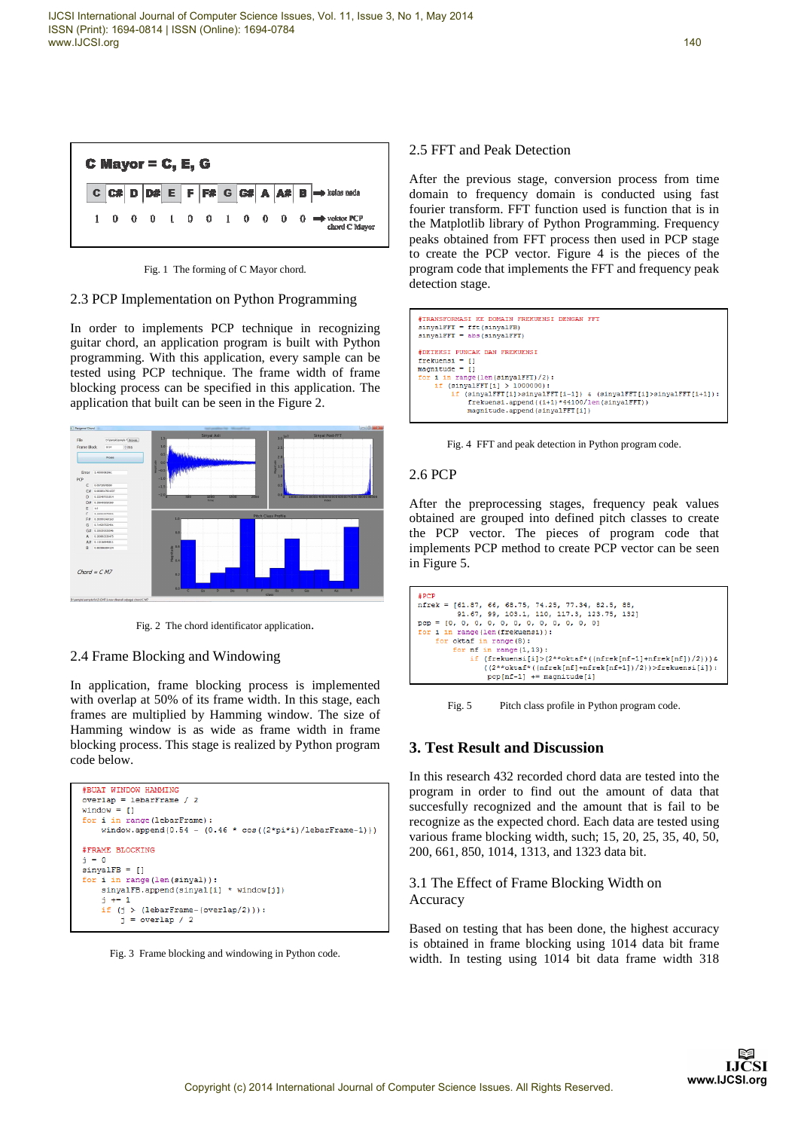

Fig. 1 The forming of C Mayor chord.

#### 2.3 PCP Implementation on Python Programming

In order to implements PCP technique in recognizing guitar chord, an application program is built with Python programming. With this application, every sample can be tested using PCP technique. The frame width of frame blocking process can be specified in this application. The application that built can be seen in the Figure 2.



Fig. 2 The chord identificator application.

# 2.4 Frame Blocking and Windowing

In application, frame blocking process is implemented with overlap at 50% of its frame width. In this stage, each frames are multiplied by Hamming window. The size of Hamming window is as wide as frame width in frame blocking process. This stage is realized by Python program code below.

```
#BUAT WINDOW HAMMING
overlap = lebarFrame / 2
window = []for i in range(lebarFrame):
   window.append(0.54 - (0.46 * cos((2*pi* i)/lebarFrame-1)))#FRAME BLOCKING
  = 0sinya1FB = []for i in range (len (sinval)):
    sinyalFB.append(sinyal[i] * window[j])
    j + = 1if (j > (lebarFrame-(overlap/2))):
        j = overlap / 2
```
Fig. 3 Frame blocking and windowing in Python code.

# 2.5 FFT and Peak Detection

After the previous stage, conversion process from time domain to frequency domain is conducted using fast fourier transform. FFT function used is function that is in the Matplotlib library of Python Programming. Frequency peaks obtained from FFT process then used in PCP stage to create the PCP vector. Figure 4 is the pieces of the program code that implements the FFT and frequency peak detection stage.



Fig. 4 FFT and peak detection in Python program code.

#### 2.6 PCP

After the preprocessing stages, frequency peak values obtained are grouped into defined pitch classes to create the PCP vector. The pieces of program code that implements PCP method to create PCP vector can be seen in Figure 5.

| nfrek = [61.87, 66, 68.75, 74.25, 77.34, 82.5, 88,               |
|------------------------------------------------------------------|
|                                                                  |
| 91.67, 99, 103.1, 110, 117.3, 123.75, 1321                       |
| $pcp = [0, 0, 0, 0, 0, 0, 0, 0, 0, 0, 0, 0]$                     |
| for i in range(len(frekuensi)):                                  |
| for oktaf in range(8):                                           |
| for $nf$ in range $(1, 13)$ :                                    |
| if (frekuensi[i]>(2**oktaf*((nfrek[nf-1]+nfrek[nf])/2))) &       |
| $((2**\text{oktaf*}((nfrek[nf]+nfrek[nf+1])/2))$ >frekuensi[i]): |
| $pcp[nf-1] += magnitude[i]$                                      |

Fig. 5 Pitch class profile in Python program code.

# **3. Test Result and Discussion**

In this research 432 recorded chord data are tested into the program in order to find out the amount of data that succesfully recognized and the amount that is fail to be recognize as the expected chord. Each data are tested using various frame blocking width, such; 15, 20, 25, 35, 40, 50, 200, 661, 850, 1014, 1313, and 1323 data bit.

# 3.1 The Effect of Frame Blocking Width on Accuracy

Based on testing that has been done, the highest accuracy is obtained in frame blocking using 1014 data bit frame width. In testing using 1014 bit data frame width 318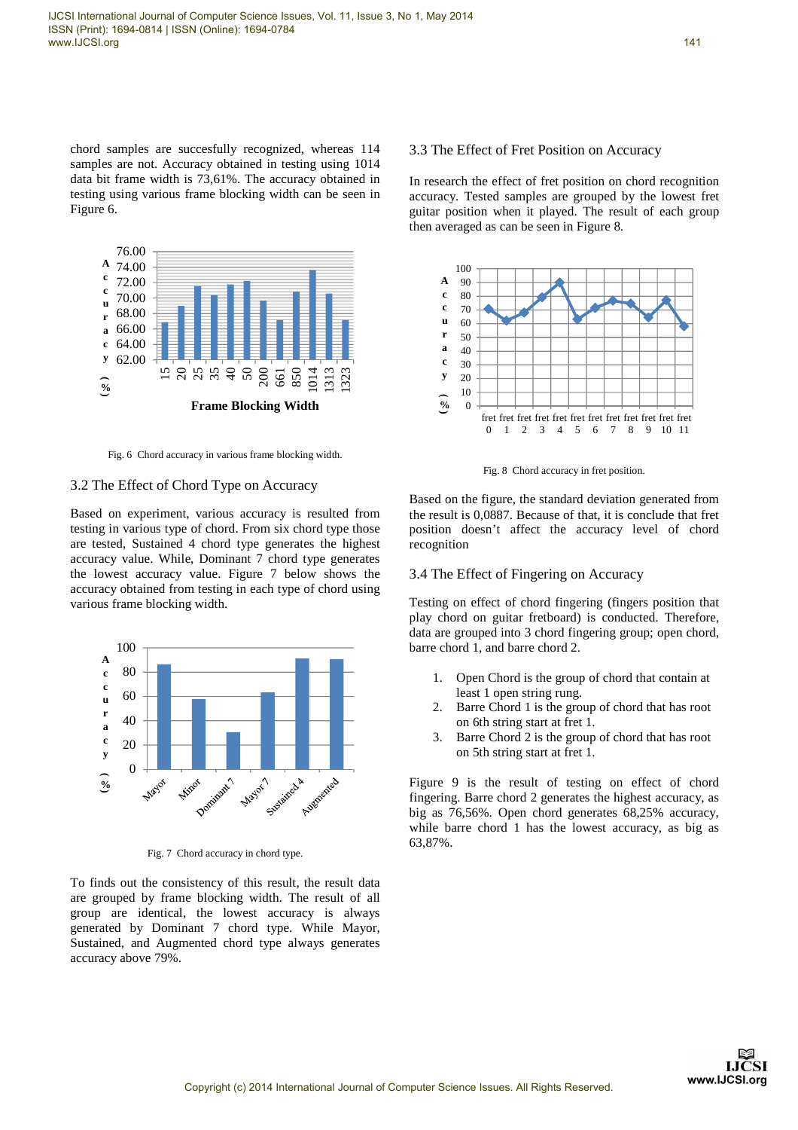chord samples are succesfully recognized, whereas 114 samples are not. Accuracy obtained in testing using 1014 data bit frame width is 73,61%. The accuracy obtained in testing using various frame blocking width can be seen in Figure 6.



Fig. 6 Chord accuracy in various frame blocking width.

#### 3.2 The Effect of Chord Type on Accuracy

Based on experiment, various accuracy is resulted from testing in various type of chord. From six chord type those are tested, Sustained 4 chord type generates the highest accuracy value. While, Dominant 7 chord type generates the lowest accuracy value. Figure 7 below shows the accuracy obtained from testing in each type of chord using various frame blocking width.



Fig. 7 Chord accuracy in chord type.

To finds out the consistency of this result, the result data are grouped by frame blocking width. The result of all group are identical, the lowest accuracy is always generated by Dominant 7 chord type. While Mayor, Sustained, and Augmented chord type always generates accuracy above 79%.

#### 3.3 The Effect of Fret Position on Accuracy

In research the effect of fret position on chord recognition accuracy. Tested samples are grouped by the lowest fret guitar position when it played. The result of each group then averaged as can be seen in Figure 8.



Fig. 8 Chord accuracy in fret position.

Based on the figure, the standard deviation generated from the result is 0,0887. Because of that, it is conclude that fret position doesn't affect the accuracy level of chord recognition

#### 3.4 The Effect of Fingering on Accuracy

Testing on effect of chord fingering (fingers position that play chord on guitar fretboard) is conducted. Therefore, data are grouped into 3 chord fingering group; open chord, barre chord 1, and barre chord 2.

- 1. Open Chord is the group of chord that contain at least 1 open string rung.
- 2. Barre Chord 1 is the group of chord that has root on 6th string start at fret 1.
- 3. Barre Chord 2 is the group of chord that has root on 5th string start at fret 1.

Figure 9 is the result of testing on effect of chord fingering. Barre chord 2 generates the highest accuracy, as big as 76,56%. Open chord generates 68,25% accuracy, while barre chord 1 has the lowest accuracy, as big as 63,87%.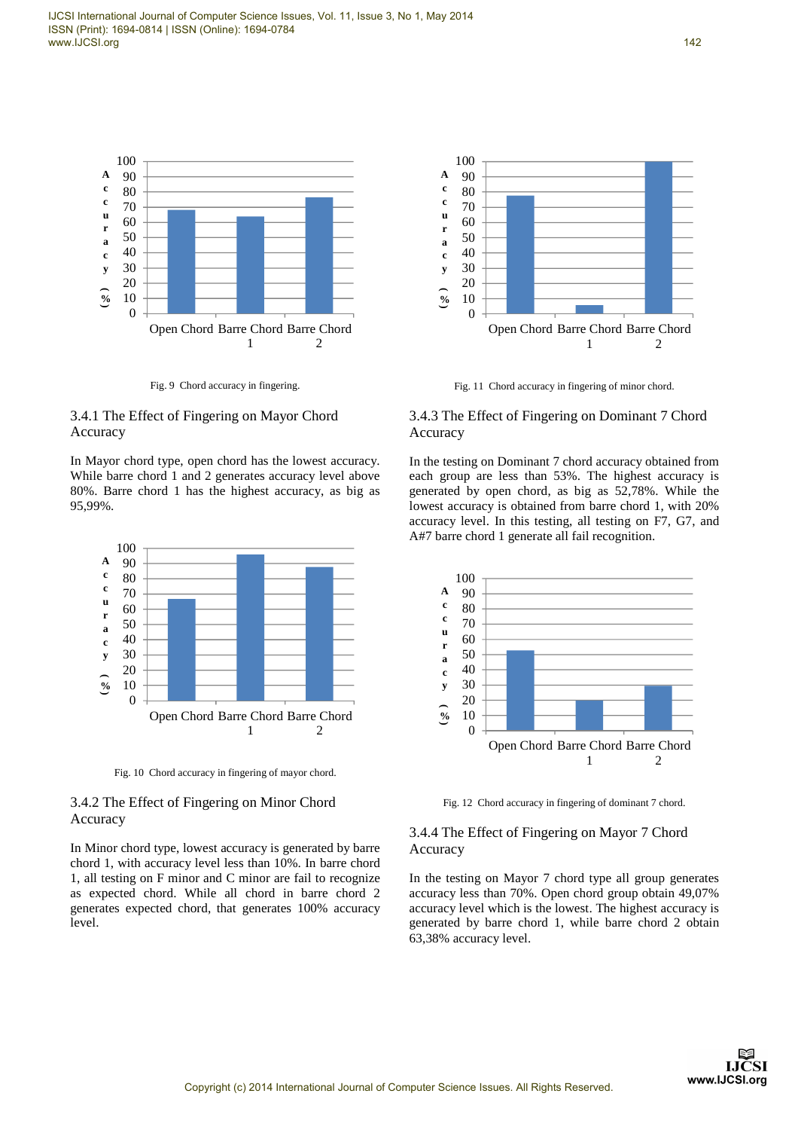

Fig. 9 Chord accuracy in fingering.

# 3.4.1 The Effect of Fingering on Mayor Chord Accuracy

In Mayor chord type, open chord has the lowest accuracy. While barre chord 1 and 2 generates accuracy level above 80%. Barre chord 1 has the highest accuracy, as big as 95,99%.



Fig. 10 Chord accuracy in fingering of mayor chord.

# 3.4.2 The Effect of Fingering on Minor Chord Accuracy

In Minor chord type, lowest accuracy is generated by barre chord 1, with accuracy level less than 10%. In barre chord 1, all testing on F minor and C minor are fail to recognize as expected chord. While all chord in barre chord 2 generates expected chord, that generates 100% accuracy level.



Fig. 11 Chord accuracy in fingering of minor chord.

# 3.4.3 The Effect of Fingering on Dominant 7 Chord Accuracy

In the testing on Dominant 7 chord accuracy obtained from each group are less than 53%. The highest accuracy is generated by open chord, as big as 52,78%. While the lowest accuracy is obtained from barre chord 1, with 20% accuracy level. In this testing, all testing on F7, G7, and A#7 barre chord 1 generate all fail recognition.



Fig. 12 Chord accuracy in fingering of dominant 7 chord.

# 3.4.4 The Effect of Fingering on Mayor 7 Chord Accuracy

In the testing on Mayor 7 chord type all group generates accuracy less than 70%. Open chord group obtain 49,07% accuracy level which is the lowest. The highest accuracy is generated by barre chord 1, while barre chord 2 obtain 63,38% accuracy level.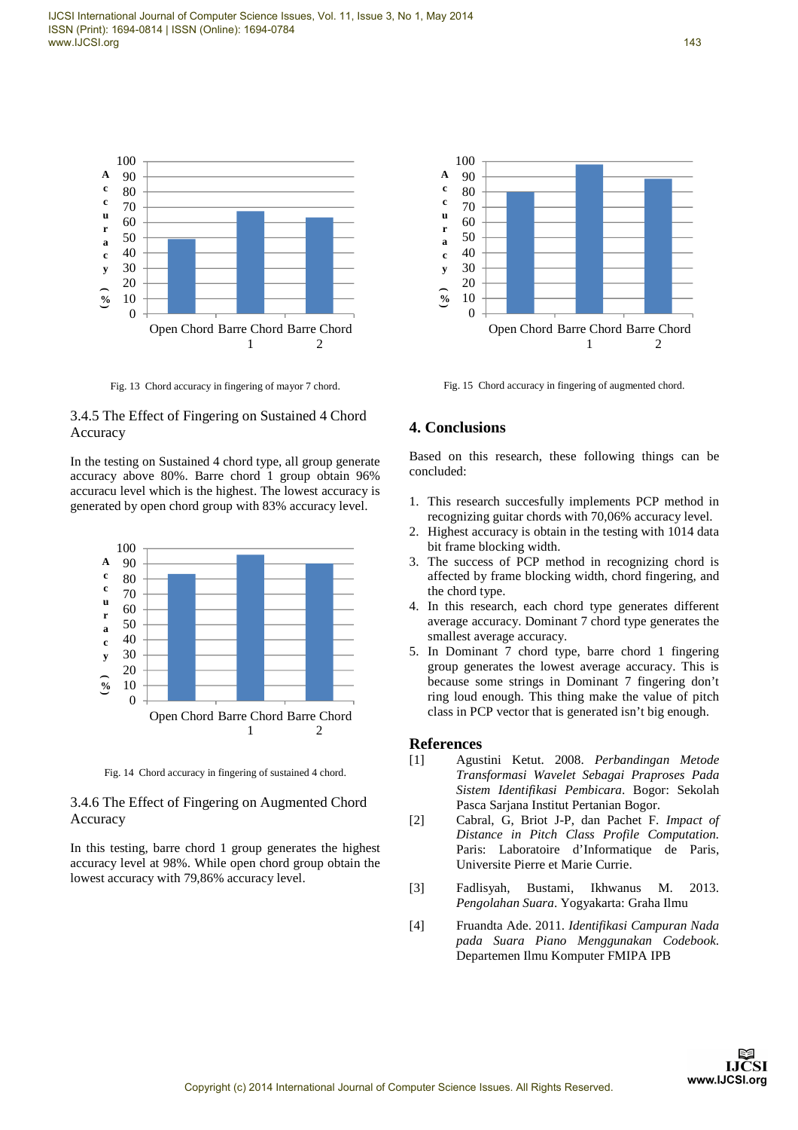

Fig. 13 Chord accuracy in fingering of mayor 7 chord.

# 3.4.5 The Effect of Fingering on Sustained 4 Chord Accuracy

In the testing on Sustained 4 chord type, all group generate accuracy above 80%. Barre chord 1 group obtain 96% accuracu level which is the highest. The lowest accuracy is generated by open chord group with 83% accuracy level.



Fig. 14 Chord accuracy in fingering of sustained 4 chord.

# 3.4.6 The Effect of Fingering on Augmented Chord Accuracy

In this testing, barre chord 1 group generates the highest accuracy level at 98%. While open chord group obtain the lowest accuracy with 79,86% accuracy level.



Fig. 15 Chord accuracy in fingering of augmented chord.

# **4. Conclusions**

Based on this research, these following things can be concluded:

- 1. This research succesfully implements PCP method in recognizing guitar chords with 70,06% accuracy level.
- 2. Highest accuracy is obtain in the testing with 1014 data bit frame blocking width.
- 3. The success of PCP method in recognizing chord is affected by frame blocking width, chord fingering, and the chord type.
- 4. In this research, each chord type generates different average accuracy. Dominant 7 chord type generates the smallest average accuracy.
- 5. In Dominant 7 chord type, barre chord 1 fingering group generates the lowest average accuracy. This is because some strings in Dominant 7 fingering don't ring loud enough. This thing make the value of pitch class in PCP vector that is generated isn't big enough.

# **References**

- [1] Agustini Ketut. 2008. *Perbandingan Metode Transformasi Wavelet Sebagai Praproses Pada Sistem Identifikasi Pembicara*. Bogor: Sekolah Pasca Sarjana Institut Pertanian Bogor.
- [2] Cabral, G, Briot J-P, dan Pachet F. *Impact of Distance in Pitch Class Profile Computation.*  Paris: Laboratoire d'Informatique de Paris, Universite Pierre et Marie Currie.
- [3] Fadlisyah, Bustami, Ikhwanus M. 2013. *Pengolahan Suara*. Yogyakarta: Graha Ilmu
- [4] Fruandta Ade. 2011. *Identifikasi Campuran Nada pada Suara Piano Menggunakan Codebook*. Departemen Ilmu Komputer FMIPA IPB



143